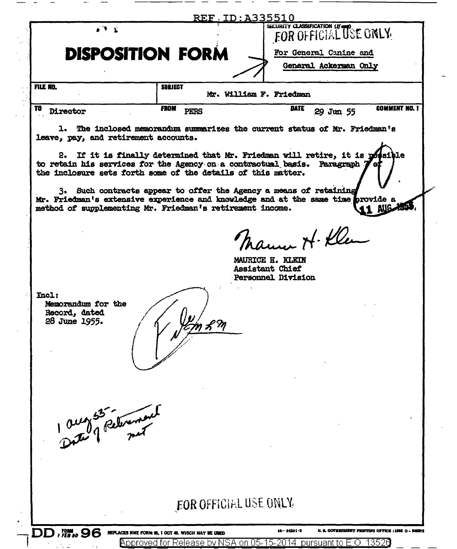|                                                               | <b>DISPOSITION FORM</b>                                                                                                       | FOR OFFICIAL USE ONLY<br>For General Canine and<br>General Ackerman Only                                                                                   |
|---------------------------------------------------------------|-------------------------------------------------------------------------------------------------------------------------------|------------------------------------------------------------------------------------------------------------------------------------------------------------|
| FILE RO.                                                      | <b>SUBJECT</b>                                                                                                                | Mr. William F. Friedman                                                                                                                                    |
| <sup>70</sup> Director                                        | <b>FROM</b><br>PERS                                                                                                           | <b>COMMENT NO. 1</b><br><b>DATE</b><br>29 Jun 55                                                                                                           |
|                                                               | leave, pay, and retirement accounts.                                                                                          | 1. The inclosed memorandum summarizes the current status of Mr. Friedman's<br>2. If it is finally determined that Mr. Friedman will retire, it is possible |
|                                                               | to retain his services for the Agency on a contractual basis.<br>the inclosure sets forth some of the details of this matter. | Paragraph 7<br>3. Such contracts appear to offer the Agency a means of retaining                                                                           |
|                                                               | method of supplementing Mr. Friedman's retirement income.                                                                     | Mr. Friedman's extensive experience and knowledge and at the same time provide a<br>AUG AREA                                                               |
|                                                               |                                                                                                                               | Mamar H. Kler                                                                                                                                              |
|                                                               |                                                                                                                               | MAURICE H. KLEIN<br>Assistant Chief<br><b>Personnel Division</b>                                                                                           |
| Incl:<br>Memorandum for the<br>Record, dated<br>28 June 1955. |                                                                                                                               |                                                                                                                                                            |
| auger celement                                                |                                                                                                                               |                                                                                                                                                            |
|                                                               | <b>FOR OFFICIAL USE ONLY</b>                                                                                                  |                                                                                                                                                            |

 $\sim$ 

 $\sim$ 

 $\sim$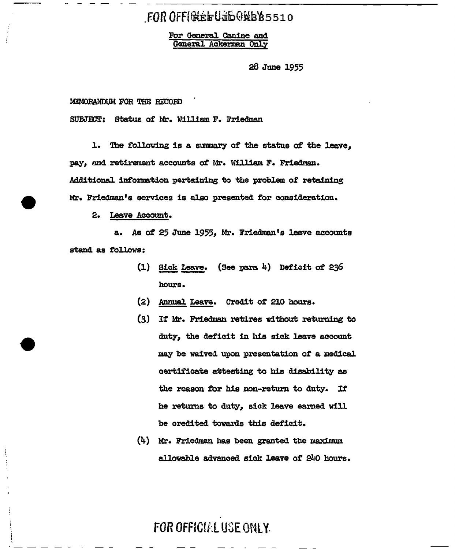#### FOR OFFIGGEFUJE ONBB5510

For GeneraJ. Canine and General Ackerman Only

28 June 1955

MEMORANDUM FOR THE RECORD

SUBJECT: Status of Mr. William. F. Friedman

1. The following is a summary of the status of the leave, pay, and retirement accounts of Mr. William F. Friedman. Additional information pertaining to the problem of retaining Mr. Friedman's services is also presented for consideration.

2. Leave Account.

a. As of 25 June 1955, Mr. Friedman's leave accounts stand as follows:

- $(1)$  Sick Leave. (See para 4) Deficit of 236 hours.
- (2) Annual Leave. Credit of' 210 hours.
- (3} If' Mr. Friedman retires without returning to duty, the deficit in his sick leave account may be waived upon presentation of a mediaal certificate attesting to his disability as the reason for his non-return to duty. If' he returns to duty, sick leave earned will be credited towards this deficit.
- $(4)$  Mr. Friedman has been granted the maximum allowable advanced sick leave of 24o hours.

FOR OFFICIAL USE ONLY.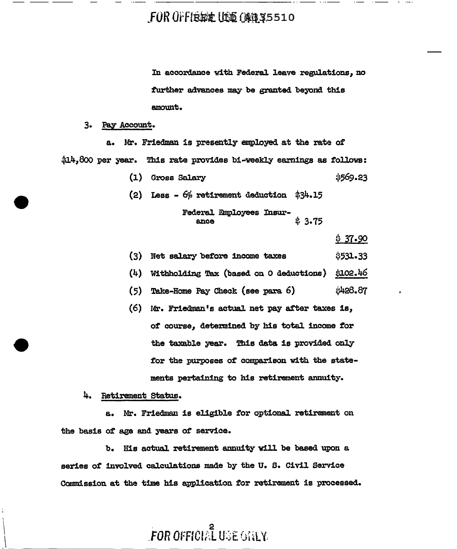#### FOR OFFIRE LEE (AB35510

In accordance with Federal leave regulations, no further advances may be granted beyond this amount.

#### 3. Pay Account.

Mr. Friedman is presently employed at the rate of  $a_{\bullet}$ \$14.800 per year. This rate provides bi-weekly earnings as follows:

> (1) Gross Salary \$569.23 (2) Less -  $6\frac{6}{10}$  retirement deduction  $$34.15$ **Federal Employees Insur-** $$3.75$ ance

> > $$37.90$

| (3) Net salary before income taxes                   | \$531.33 |
|------------------------------------------------------|----------|
| (4) Withholding Tax (based on 0 deductions) \$102.46 |          |
| (5) Take-Home Pay Check (see para 6)                 | 8428.87  |

 $(6)$  Mr. Friedman's actual net pay after taxes is, of course, determined by his total income for the taxable year. This data is provided only for the purposes of comparison with the statements pertaining to his retirement annuity.

#### 4. Retirement Status.

Mr. Friedman is eligible for optional retirement on  $a<sub>1</sub>$ the basis of age and years of service.

b. His actual retirement annuity will be based upon a series of involved calculations made by the U.S. Civil Service Commission at the time his application for retirement is processed.

**FOR OFFICIAL USE GALY**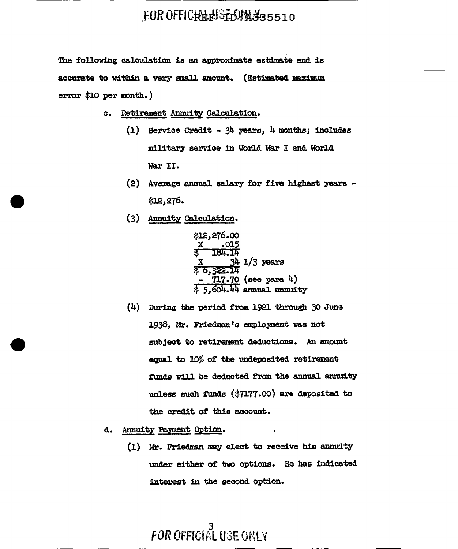### EOR OFFICHALL SERING 35510

The following calculation is an approximate estimate and is accurate to within a very small amount. (Estimated maximum error \$10 per month.)

- c. Retirement Annuity Calculation.
	- $(1)$  Service Credit  $34$  years, 4 months; includes military service in World War I and World War II.
	- $(2)$  Average annual salary for five highest years - $$12,276.$
	- (3) Annuity Calculation.

$$
$12,276.00\nx .015\n$ 184.14\nx 34 1/3 years\n$ 6,322.14\n- 717.70 (see para 4)\n$ 5,604.44 annual annuity
$$

- ( 4) During the period from 1921 through 30 June 1938, Mr. Friedman's employment was not subject to retirement deductions. An amount equal to 10% of the undeposited retirement funds will be deducted from the annual annuity unless such funds (\$7177.00) are deposited to the credit of this account.
- d. Annuity Payment Option.
	- (1) Mr. Friedman may elect to receive his annuity under either of two options. He has indicated interest in the second option.

3 *fOR* OFflCIAL USE ONLY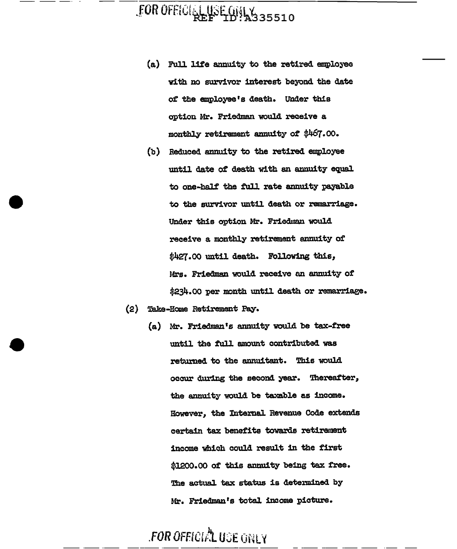# FOR OFFICIAL USE CHIAS35510

- (a) Full life annuity to the retired employee with no survivor interest beyond the date of the employee's death. Under this option Mr. Friedman would receive a monthly retirement annuity of \$467.00.
- (b) Reduced annuity to the retired employee until date of death with an annuity equal to one-half the full rate annuity payable to the survivor until death or remarriage. Under this option Mr. Friedman would receive a monthly retirement annuity of \$427.00 until death. Following this, Mrs. Friedman would receive an annuity of \$234.00 per month until death or remarriage.
- (2) Take-Home Retirement Pay.
	- (a) Mr. Friedman's annuity would be tax-free until the full amount contributed was returned to the annuitant. This would occur during the second year. Thereafter, the annuity would be taxable as income. However, the Internal Revenue Code extends certain tax benefits towards retirement income which could result in the first \$1200.00 of this annuity being tax free. The actual tax status is determined by Mr. Friedman's total income picture.

### FOR OFFICIAL USE GNLY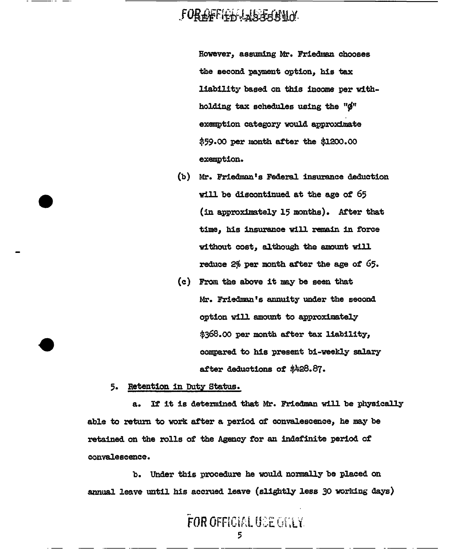### FOR AFFILITILIS ELININ.

However, assuming Mr. Friedman chooses the second payment option, his tax liability based on this income per withholding tax schedules using the " $\phi$ " exemption category would approximate \$59.00 per month after the \$1200.00 exemption.

- (b) Mr. Friedman's Federal insurance deduction will be discontinued at the age of 65 (in approximately 15 months). After that time, his insurance will remain in force without cost, although the amount will reduce 2% per month after the age of 65.
- (c) From the above it may be seen that Mr. Friedman's annuity under the second option will amount to approximately \$368.00 per month after tax liability, compared to his present bi-weekly salary after deductions of \$428.87.
- 5. Retention in Duty Status.

If it is determined that Mr. Friedman will be physically а. able to return to work after a period of convalescence, he may be retained on the rolls of the Agency for an indefinite period of convalescence.

b. Under this procedure he would normally be placed on annual leave until his accrued leave (slightly less 30 working days)

## FOR OFFICIAL USE GIVEY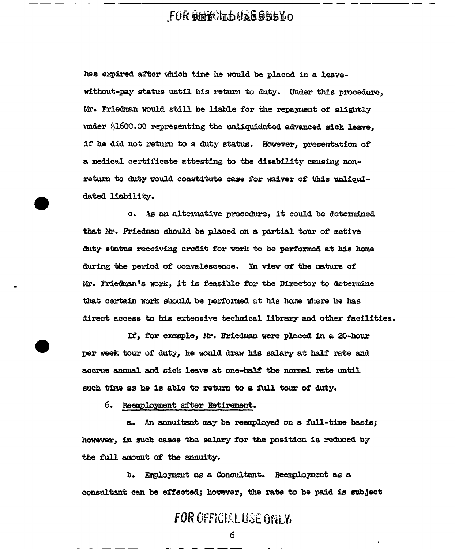#### FOR REFORMS USB SHEYO

has expired after which time he would be placed in a leavewithout-pay status until his return to duty. Under this procedure, Mr. Friedman would still be liable for the repayment of slightly under \$1600.00 representing the unliquidated advanced sick leave. if he did not return to a duty status. However, presentation of a medical certificate attesting to the disability causing nonreturn to duty would constitute case for waiver of this unliquidated liability.

c. As an alternative procedure, it could be determined that Mr. Friedman should be placed on a partial tour of active duty status receiving credit for work to be performed at his home during the period of convalescence. In view of the nature of Mr. Friedman's work, it is feasible for the Director to determine that certain work should be performed at his home where he has direct access to his extensive technical library and other facilities.

If, for example, Mr. Friedman were placed in a 20-hour per week tour of duty, he would draw his salary at half rate and accrue annual and sick leave at one-half the normal rate until such time as he is able to return to a full tour of duty.

6. Reemployment after Retirement.

a. An annuitant may be reemployed on a full-time basis; however, in such cases the salary for the position is reduced by the full amount of the annuity.

b. Employment as a Consultant. Reemployment as a consultant can be effected; however, the rate to be paid is subject

### **FOR GEFICIAL USE ONLY.**

6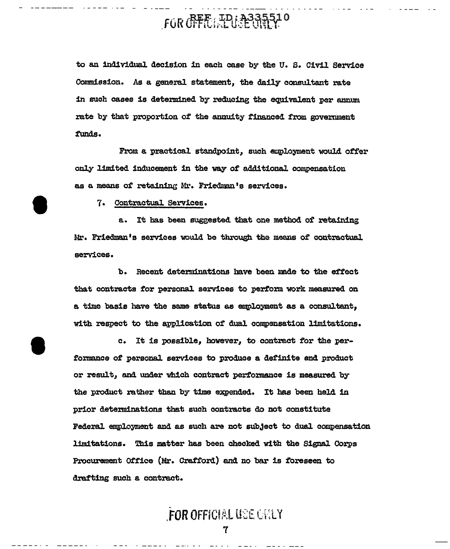### FOR OFFICIAL USE UNIV

to an individual decision in each case by the U.S. Civil Service Commission. As a general statement, the daily consultant rate in such cases is determined by reducing the equivalent per annum rate by that proportion of the annuity financed from government funds.

From a practical standpoint, such employment would offer only limited inducement in the way of additional compensation as a means of retaining Mr. Friedman's services.

7. Contractual Services.

It has been suggested that one method of retaining  $A -$ Mr. Friedman's services would be through the means of contractual services.

Ъ. Recent determinations have been made to the effect that contracts for personal services to perform work measured on a time basis have the same status as employment as a consultant, with respect to the application of dual compensation limitations.

c. It is possible, however, to contract for the performance of personal services to produce a definite end product or result, and under which contract performance is measured by the product rather than by time expended. It has been held in prior determinations that such contracts do not constitute Federal employment and as such are not subject to dual compensation limitations. This matter has been checked with the Signal Corps Procurement Office (Mr. Crafford) and no bar is foreseen to drafting such a contract.

**FOR OFFICIAL USE CHELY** 

7